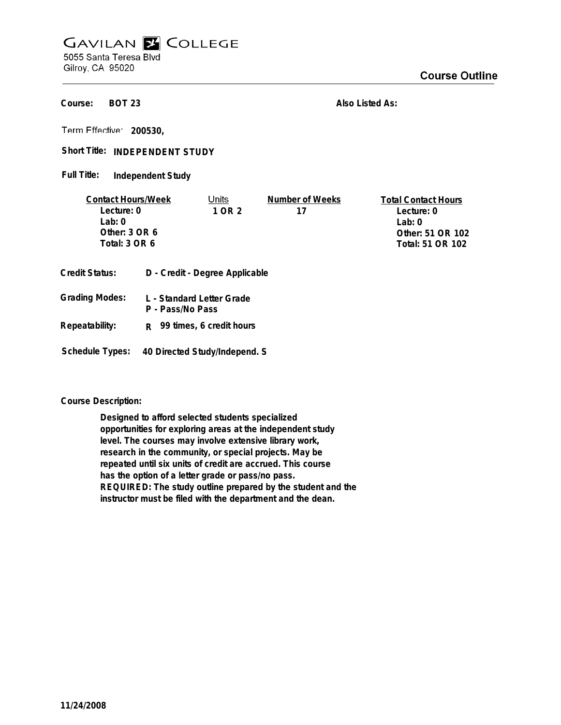## **GAVILAN E COLLEGE** 5055 Santa Teresa Blvd

Gilroy, CA 95020

**BOT 23 Course:**

**Also Listed As:**

**200530,**

Short Title: INDEPENDENT STUDY

**Independent Study Full Title:**

| <b>Contact Hours/Week</b> |                  | Units                          | Number of Weeks  | <b>Total Contact Hours</b> |
|---------------------------|------------------|--------------------------------|------------------|----------------------------|
| Lecture: 0                |                  | 1 OR 2                         | 17               | Lecture: 0                 |
| l ab: 0                   |                  |                                |                  | Lab: 0                     |
| Other: $3$ OR $6$         |                  |                                |                  | Other: 51 OR 102           |
| Total: 3 OR 6             |                  |                                | Total: 51 OR 102 |                            |
|                           |                  |                                |                  |                            |
| Credit Status:            |                  | D - Credit - Degree Applicable |                  |                            |
| <b>Grading Modes:</b>     | P - Pass/No Pass | L - Standard Letter Grade      |                  |                            |

**Repeatability: R 99 times, 6 credit hours**

**Schedule Types: 40 Directed Study/Independ. S**

**Course Description:**

**Designed to afford selected students specialized opportunities for exploring areas at the independent study level. The courses may involve extensive library work, research in the community, or special projects. May be repeated until six units of credit are accrued. This course has the option of a letter grade or pass/no pass. REQUIRED: The study outline prepared by the student and the instructor must be filed with the department and the dean.**